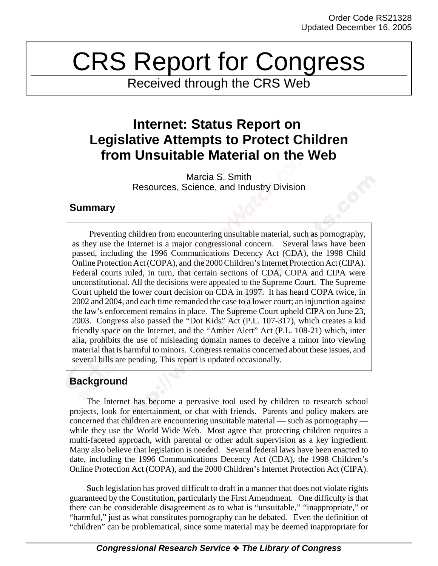# CRS Report for Congress

Received through the CRS Web

## **Internet: Status Report on Legislative Attempts to Protect Children from Unsuitable Material on the Web**

Marcia S. Smith Resources, Science, and Industry Division

#### **Summary**

Preventing children from encountering unsuitable material, such as pornography, as they use the Internet is a major congressional concern. Several laws have been passed, including the 1996 Communications Decency Act (CDA), the 1998 Child Online Protection Act (COPA), and the 2000 Children's Internet Protection Act (CIPA). Federal courts ruled, in turn, that certain sections of CDA, COPA and CIPA were unconstitutional. All the decisions were appealed to the Supreme Court. The Supreme Court upheld the lower court decision on CDA in 1997. It has heard COPA twice, in 2002 and 2004, and each time remanded the case to a lower court; an injunction against the law's enforcement remains in place. The Supreme Court upheld CIPA on June 23, 2003. Congress also passed the "Dot Kids" Act (P.L. 107-317), which creates a kid friendly space on the Internet, and the "Amber Alert" Act (P.L. 108-21) which, inter alia, prohibits the use of misleading domain names to deceive a minor into viewing material that is harmful to minors. Congress remains concerned about these issues, and several bills are pending. This report is updated occasionally.

### **Background**

The Internet has become a pervasive tool used by children to research school projects, look for entertainment, or chat with friends. Parents and policy makers are concerned that children are encountering unsuitable material — such as pornography while they use the World Wide Web. Most agree that protecting children requires a multi-faceted approach, with parental or other adult supervision as a key ingredient. Many also believe that legislation is needed. Several federal laws have been enacted to date, including the 1996 Communications Decency Act (CDA), the 1998 Children's Online Protection Act (COPA), and the 2000 Children's Internet Protection Act (CIPA).

Such legislation has proved difficult to draft in a manner that does not violate rights guaranteed by the Constitution, particularly the First Amendment. One difficulty is that there can be considerable disagreement as to what is "unsuitable," "inappropriate," or "harmful," just as what constitutes pornography can be debated. Even the definition of "children" can be problematical, since some material may be deemed inappropriate for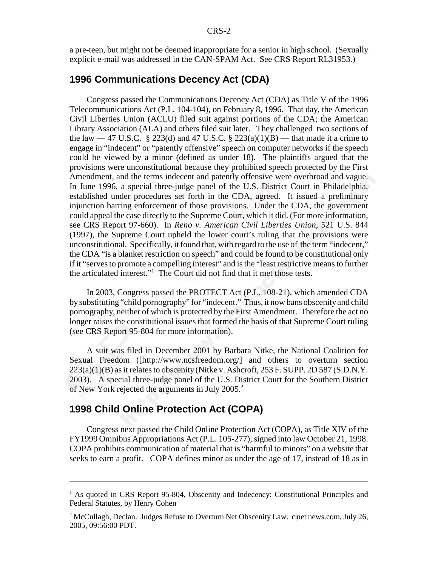a pre-teen, but might not be deemed inappropriate for a senior in high school. (Sexually explicit e-mail was addressed in the CAN-SPAM Act. See CRS Report RL31953.)

#### **1996 Communications Decency Act (CDA)**

Congress passed the Communications Decency Act (CDA) as Title V of the 1996 Telecommunications Act (P.L. 104-104), on February 8, 1996. That day, the American Civil Liberties Union (ACLU) filed suit against portions of the CDA; the American Library Association (ALA) and others filed suit later. They challenged two sections of the law  $-47$  U.S.C. § 223(d) and 47 U.S.C. § 223(a)(1)(B) — that made it a crime to engage in "indecent" or "patently offensive" speech on computer networks if the speech could be viewed by a minor (defined as under 18). The plaintiffs argued that the provisions were unconstitutional because they prohibited speech protected by the First Amendment, and the terms indecent and patently offensive were overbroad and vague. In June 1996, a special three-judge panel of the U.S. District Court in Philadelphia, established under procedures set forth in the CDA, agreed. It issued a preliminary injunction barring enforcement of those provisions. Under the CDA, the government could appeal the case directly to the Supreme Court, which it did. (For more information, see CRS Report 97-660). In *Reno v. American Civil Liberties Union*, 521 U.S. 844 (1997), the Supreme Court upheld the lower court's ruling that the provisions were unconstitutional. Specifically, it found that, with regard to the use of the term "indecent," the CDA "is a blanket restriction on speech" and could be found to be constitutional only if it "serves to promote a compelling interest" and is the "least restrictive means to further the articulated interest."1 The Court did not find that it met those tests.

In 2003, Congress passed the PROTECT Act (P.L. 108-21), which amended CDA by substituting "child pornography" for "indecent." Thus, it now bans obscenity and child pornography, neither of which is protected by the First Amendment. Therefore the act no longer raises the constitutional issues that formed the basis of that Supreme Court ruling (see CRS Report 95-804 for more information).

A suit was filed in December 2001 by Barbara Nitke, the National Coalition for Sexual Freedom ([http://www.ncsfreedom.org/] and others to overturn section  $223(a)(1)(B)$  as it relates to obscenity (Nitke v. Ashcroft, 253 F. SUPP. 2D 587 (S.D.N.Y.) 2003). A special three-judge panel of the U.S. District Court for the Southern District of New York rejected the arguments in July 2005.<sup>2</sup>

#### **1998 Child Online Protection Act (COPA)**

Congress next passed the Child Online Protection Act (COPA), as Title XIV of the FY1999 Omnibus Appropriations Act (P.L. 105-277), signed into law October 21, 1998. COPA prohibits communication of material that is "harmful to minors" on a website that seeks to earn a profit. COPA defines minor as under the age of 17, instead of 18 as in

<sup>&</sup>lt;sup>1</sup> As quoted in CRS Report 95-804, Obscenity and Indecency: Constitutional Principles and Federal Statutes, by Henry Cohen

 $^2$  McCullagh, Declan. Judges Refuse to Overturn Net Obscenity Law. c|net news.com, July 26, 2005, 09:56:00 PDT.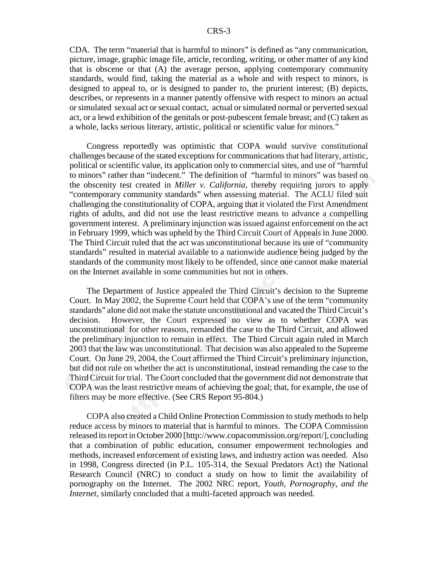CDA. The term "material that is harmful to minors" is defined as "any communication, picture, image, graphic image file, article, recording, writing, or other matter of any kind that is obscene or that (A) the average person, applying contemporary community standards, would find, taking the material as a whole and with respect to minors, is designed to appeal to, or is designed to pander to, the prurient interest; (B) depicts, describes, or represents in a manner patently offensive with respect to minors an actual or simulated sexual act or sexual contact, actual or simulated normal or perverted sexual act, or a lewd exhibition of the genitals or post-pubescent female breast; and (C) taken as a whole, lacks serious literary, artistic, political or scientific value for minors."

Congress reportedly was optimistic that COPA would survive constitutional challenges because of the stated exceptions for communications that had literary, artistic, political or scientific value, its application only to commercial sites, and use of "harmful to minors" rather than "indecent." The definition of "harmful to minors" was based on the obscenity test created in *Miller v. California*, thereby requiring jurors to apply "contemporary community standards" when assessing material. The ACLU filed suit challenging the constitutionality of COPA, arguing that it violated the First Amendment rights of adults, and did not use the least restrictive means to advance a compelling government interest. A preliminary injunction was issued against enforcement on the act in February 1999, which was upheld by the Third Circuit Court of Appeals in June 2000. The Third Circuit ruled that the act was unconstitutional because its use of "community standards" resulted in material available to a nationwide audience being judged by the standards of the community most likely to be offended, since one cannot make material on the Internet available in some communities but not in others.

The Department of Justice appealed the Third Circuit's decision to the Supreme Court. In May 2002, the Supreme Court held that COPA's use of the term "community standards" alone did not make the statute unconstitutional and vacated the Third Circuit's decision. However, the Court expressed no view as to whether COPA was unconstitutional for other reasons, remanded the case to the Third Circuit, and allowed the preliminary injunction to remain in effect. The Third Circuit again ruled in March 2003 that the law was unconstitutional. That decision was also appealed to the Supreme Court. On June 29, 2004, the Court affirmed the Third Circuit's preliminary injunction, but did not rule on whether the act is unconstitutional, instead remanding the case to the Third Circuit for trial. The Court concluded that the government did not demonstrate that COPA was the least restrictive means of achieving the goal; that, for example, the use of filters may be more effective. (See CRS Report 95-804.)

COPA also created a Child Online Protection Commission to study methods to help reduce access by minors to material that is harmful to minors. The COPA Commission released its report in October 2000 [http://www.copacommission.org/report/], concluding that a combination of public education, consumer empowerment technologies and methods, increased enforcement of existing laws, and industry action was needed. Also in 1998, Congress directed (in P.L. 105-314, the Sexual Predators Act) the National Research Council (NRC) to conduct a study on how to limit the availability of pornography on the Internet. The 2002 NRC report, *Youth, Pornography, and the Internet*, similarly concluded that a multi-faceted approach was needed.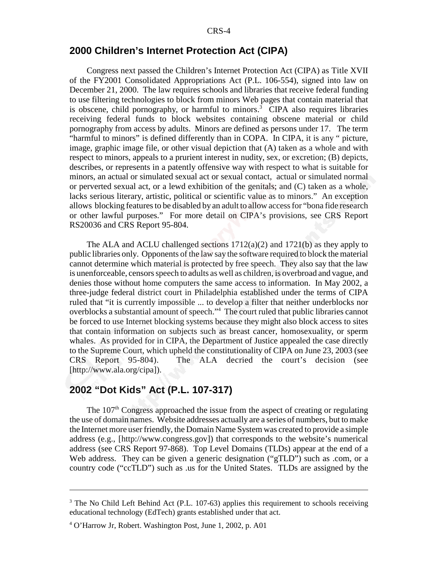#### **2000 Children's Internet Protection Act (CIPA)**

Congress next passed the Children's Internet Protection Act (CIPA) as Title XVII of the FY2001 Consolidated Appropriations Act (P.L. 106-554), signed into law on December 21, 2000. The law requires schools and libraries that receive federal funding to use filtering technologies to block from minors Web pages that contain material that is obscene, child pornography, or harmful to minors.<sup>3</sup> CIPA also requires libraries receiving federal funds to block websites containing obscene material or child pornography from access by adults. Minors are defined as persons under 17. The term "harmful to minors" is defined differently than in COPA. In CIPA, it is any " picture, image, graphic image file, or other visual depiction that (A) taken as a whole and with respect to minors, appeals to a prurient interest in nudity, sex, or excretion; (B) depicts, describes, or represents in a patently offensive way with respect to what is suitable for minors, an actual or simulated sexual act or sexual contact, actual or simulated normal or perverted sexual act, or a lewd exhibition of the genitals; and (C) taken as a whole, lacks serious literary, artistic, political or scientific value as to minors." An exception allows blocking features to be disabled by an adult to allow access for "bona fide research or other lawful purposes." For more detail on CIPA's provisions, see CRS Report RS20036 and CRS Report 95-804.

The ALA and ACLU challenged sections  $1712(a)(2)$  and  $1721(b)$  as they apply to public libraries only. Opponents of the law say the software required to block the material cannot determine which material is protected by free speech. They also say that the law is unenforceable, censors speech to adults as well as children, is overbroad and vague, and denies those without home computers the same access to information. In May 2002, a three-judge federal district court in Philadelphia established under the terms of CIPA ruled that "it is currently impossible ... to develop a filter that neither underblocks nor overblocks a substantial amount of speech."<sup>4</sup> The court ruled that public libraries cannot be forced to use Internet blocking systems because they might also block access to sites that contain information on subjects such as breast cancer, homosexuality, or sperm whales. As provided for in CIPA, the Department of Justice appealed the case directly to the Supreme Court, which upheld the constitutionality of CIPA on June 23, 2003 (see CRS Report 95-804). The ALA decried the court's decision (see [http://www.ala.org/cipa]).

#### **2002 "Dot Kids" Act (P.L. 107-317)**

The  $107<sup>th</sup>$  Congress approached the issue from the aspect of creating or regulating the use of domain names. Website addresses actually are a series of numbers, but to make the Internet more user friendly, the Domain Name System was created to provide a simple address (e.g., [http://www.congress.gov]) that corresponds to the website's numerical address (see CRS Report 97-868). Top Level Domains (TLDs) appear at the end of a Web address. They can be given a generic designation ("gTLD") such as .com, or a country code ("ccTLD") such as .us for the United States. TLDs are assigned by the

 $3$  The No Child Left Behind Act (P.L. 107-63) applies this requirement to schools receiving educational technology (EdTech) grants established under that act.

<sup>4</sup> O'Harrow Jr, Robert. Washington Post, June 1, 2002, p. A01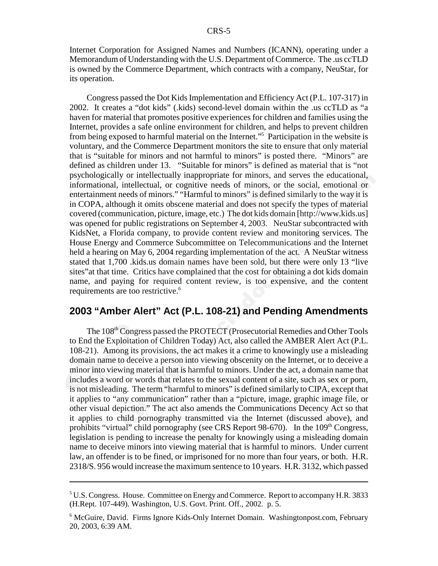Internet Corporation for Assigned Names and Numbers (ICANN), operating under a Memorandum of Understanding with the U.S. Department of Commerce. The .us ccTLD is owned by the Commerce Department, which contracts with a company, NeuStar, for its operation.

Congress passed the Dot Kids Implementation and Efficiency Act (P.L. 107-317) in 2002. It creates a "dot kids" (.kids) second-level domain within the .us ccTLD as "a haven for material that promotes positive experiences for children and families using the Internet, provides a safe online environment for children, and helps to prevent children from being exposed to harmful material on the Internet."5 Participation in the website is voluntary, and the Commerce Department monitors the site to ensure that only material that is "suitable for minors and not harmful to minors" is posted there. "Minors" are defined as children under 13. "Suitable for minors" is defined as material that is "not psychologically or intellectually inappropriate for minors, and serves the educational, informational, intellectual, or cognitive needs of minors, or the social, emotional or entertainment needs of minors." "Harmful to minors" is defined similarly to the way it is in COPA, although it omits obscene material and does not specify the types of material covered (communication, picture, image, etc.) The dot kids domain [http://www.kids.us] was opened for public registrations on September 4, 2003. NeuStar subcontracted with KidsNet, a Florida company, to provide content review and monitoring services. The House Energy and Commerce Subcommittee on Telecommunications and the Internet held a hearing on May 6, 2004 regarding implementation of the act. A NeuStar witness stated that 1,700 .kids.us domain names have been sold, but there were only 13 "live sites"at that time. Critics have complained that the cost for obtaining a dot kids domain name, and paying for required content review, is too expensive, and the content requirements are too restrictive.<sup>6</sup>

#### **2003 "Amber Alert" Act (P.L. 108-21) and Pending Amendments**

The 108<sup>th</sup> Congress passed the PROTECT (Prosecutorial Remedies and Other Tools to End the Exploitation of Children Today) Act, also called the AMBER Alert Act (P.L. 108-21). Among its provisions, the act makes it a crime to knowingly use a misleading domain name to deceive a person into viewing obscenity on the Internet, or to deceive a minor into viewing material that is harmful to minors. Under the act, a domain name that includes a word or words that relates to the sexual content of a site, such as sex or porn, is not misleading. The term "harmful to minors" is defined similarly to CIPA, except that it applies to "any communication" rather than a "picture, image, graphic image file, or other visual depiction." The act also amends the Communications Decency Act so that it applies to child pornography transmitted via the Internet (discussed above), and prohibits "virtual" child pornography (see CRS Report 98-670). In the  $109<sup>th</sup>$  Congress, legislation is pending to increase the penalty for knowingly using a misleading domain name to deceive minors into viewing material that is harmful to minors. Under current law, an offender is to be fined, or imprisoned for no more than four years, or both. H.R. 2318/S. 956 would increase the maximum sentence to 10 years. H.R. 3132, which passed

<sup>&</sup>lt;sup>5</sup> U.S. Congress. House. Committee on Energy and Commerce. Report to accompany H.R. 3833 (H.Rept. 107-449). Washington, U.S. Govt. Print. Off., 2002. p. 5.

<sup>&</sup>lt;sup>6</sup> McGuire, David. Firms Ignore Kids-Only Internet Domain. Washingtonpost.com, February 20, 2003, 6:39 AM.